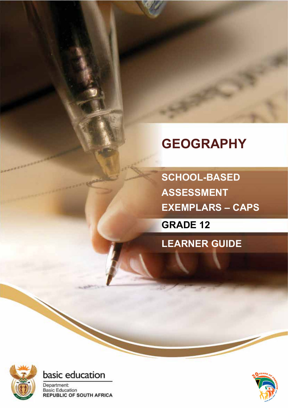# **GEOGRAPHY**

**SCHOOL-BASED ASSESSMENT EXEMPLARS – CAPS**

**GRADE 12**

**LEARNER GUIDE**





Department: **Basic Education REPUBLIC OF SOUTH AFRICA** 

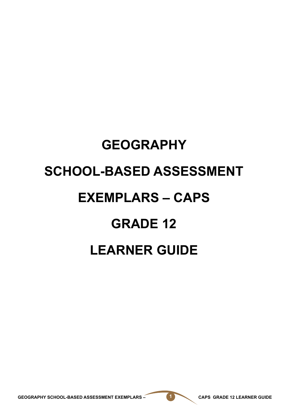# **GEOGRAPHY SCHOOL-BASED ASSESSMENT EXEMPLARS – CAPS GRADE 12 LEARNER GUIDE**

GEOGRAPHY SCHOOL-BASED ASSESSMENT EXEMPLARS – **1 CAPS GRADE 12 LEARNER GUIDE**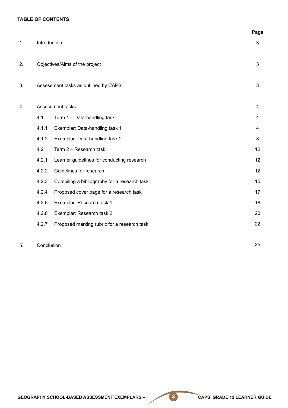#### **TABLE OF CONTENTS**

|    |              |                                              | Page |
|----|--------------|----------------------------------------------|------|
| 1. | Introduction |                                              | 3    |
| 2. |              | Objectives/Aims of the project               | 3    |
| 3. |              | Assessment tasks as outlined by CAPS         | 3    |
| 4. |              | Assessment tasks                             | 4    |
|    | 4.1          | Term 1 - Data-handling task                  | 4    |
|    | 4.1.1        | Exemplar: Data-handling task 1               | 4    |
|    | 4.1.2        | Exemplar: Data-handling task 2               | 8    |
|    | 4.2          | Term 2 - Research task                       | 12   |
|    | 4.2.1        | Learner guidelines for conducting research   | 12   |
|    | 4.2.2        | Guidelines for research                      | 12   |
|    | 4.2.3        | Compiling a bibliography for a research task | 15   |
|    | 4.2.4        | Proposed cover page for a research task      | 17   |
|    | 4.2.5        | Exemplar: Research task 1                    | 18   |
|    | 4.2.6        | Exemplar: Research task 2                    | 20   |
|    | 4.2.7        | Proposed marking rubric for a research task  | 22   |
|    |              |                                              |      |

#### 5. Conclusion

25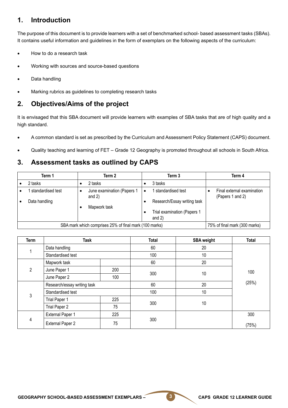# **1. Introduction**

The purpose of this document is to provide learners with a set of benchmarked school- based assessment tasks (SBAs). It contains useful information and guidelines in the form of exemplars on the following aspects of the curriculum:

- How to do a research task
- Working with sources and source-based questions
- Data handling
- Marking rubrics as guidelines to completing research tasks

# **2. Objectives/Aims of the project**

It is envisaged that this SBA document will provide learners with examples of SBA tasks that are of high quality and a high standard.

- A common standard is set as prescribed by the Curriculum and Assessment Policy Statement (CAPS) document.
- Quality teaching and learning of FET Grade 12 Geography is promoted throughout all schools in South Africa.

# **3. Assessment tasks as outlined by CAPS**

| Term 1                                                 | Term 2                                 | Term 3                                  | Term 4                                         |
|--------------------------------------------------------|----------------------------------------|-----------------------------------------|------------------------------------------------|
| 2 tasks                                                | 2 tasks                                | 3 tasks                                 |                                                |
| standardised test                                      | June examination (Papers 1<br>and $2)$ | standardised test<br>$\bullet$          | Final external examination<br>(Papers 1 and 2) |
| Data handling                                          | Mapwork task                           | Research/Essay writing task             |                                                |
|                                                        |                                        | Trial examination (Papers 1<br>and $2)$ |                                                |
| SBA mark which comprises 25% of final mark (100 marks) | 75% of final mark (300 marks)          |                                         |                                                |

| Term | <b>Task</b>                 |     | <b>Total</b> | <b>SBA</b> weight | <b>Total</b> |  |
|------|-----------------------------|-----|--------------|-------------------|--------------|--|
|      | Data handling               |     | 60           | 20                |              |  |
|      | Standardised test           |     | 100          | 10                |              |  |
|      | Mapwork task                |     | 60           | 20                |              |  |
| 2    | June Paper 1                | 200 | 300          | 10                | 100          |  |
|      | June Paper 2                | 100 |              |                   |              |  |
|      | Research/essay writing task |     | 60           | 20                | (25%)        |  |
| 3    | Standardised test           |     | 100          | 10                |              |  |
|      | Trial Paper 1               | 225 | 300          | 10                |              |  |
|      | Trial Paper 2               | 75  |              |                   |              |  |
| 4    | <b>External Paper 1</b>     | 225 |              |                   | 300          |  |
|      | <b>External Paper 2</b>     | 75  | 300          |                   | (75%)        |  |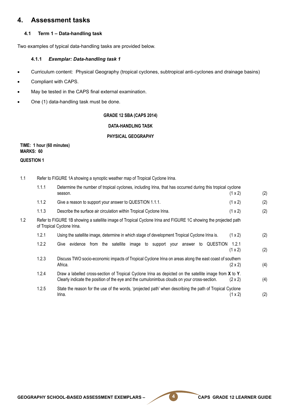# **4. Assessment tasks**

#### **4.1 Term 1 – Data-handling task**

Two examples of typical data-handling tasks are provided below.

#### **4.1.1** *Exemplar: Data-handling task 1*

- Curriculum content: Physical Geography (tropical cyclones, subtropical anti-cyclones and drainage basins)
- Compliant with CAPS.
- May be tested in the CAPS final external examination.
- One (1) data-handling task must be done.

#### **GRADE 12 SBA (CAPS 2014)**

#### **DATA-HANDLING TASK**

#### **PHYSICAL GEOGRAPHY**

### **TIME: 1 hour (60 minutes) MARKS: 60**

#### **QUESTION 1**

1.1 Refer to FIGURE 1A showing a synoptic weather map of Tropical Cyclone Irina. 1.1.1 Determine the number of tropical cyclones, including Irina, that has occurred during this tropical cyclone season.  $(1 \times 2)$  (2) 1.1.2 Give a reason to support your answer to QUESTION 1.1.1. (1 x 2) (2) 1.1.3 Describe the surface air circulation within Tropical Cyclone Irina. (1 x 2) (2) 1.2 Refer to FIGURE 1B showing a satellite image of Tropical Cyclone Irina and FIGURE 1C showing the projected path of Tropical Cyclone Irina. 1.2.1 Using the satellite image, determine in which stage of development Tropical Cyclone Irina is. (1 x 2) (2) 1.2.2 Give evidence from the satellite image to support your answer to QUESTION 1.2.1  $(1 \times 2)$  (2) 1.2.3 Discuss TWO socio-economic impacts of Tropical Cyclone Irina on areas along the east coast of southern Africa.  $(2 \times 2)$  (4) 1.2.4 Draw a labelled cross-section of Tropical Cyclone Irina as depicted on the satellite image from **X** to **Y**. Clearly indicate the position of the eye and the cumulonimbus clouds on your cross-section.  $(2 \times 2)$  (4) 1.2.5 State the reason for the use of the words, 'projected path' when describing the path of Tropical Cyclone Irina. (1 x 2) (2)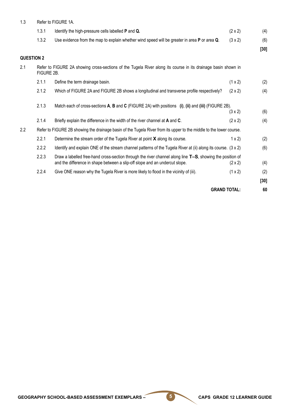| 1.3               | Refer to FIGURE 1A. |                                                                                                                                                                                          |                     |        |
|-------------------|---------------------|------------------------------------------------------------------------------------------------------------------------------------------------------------------------------------------|---------------------|--------|
|                   | 1.3.1               | Identify the high-pressure cells labelled P and Q.                                                                                                                                       | $(2 \times 2)$      | (4)    |
|                   | 1.3.2               | Use evidence from the map to explain whether wind speed will be greater in area P or area Q.                                                                                             | $(3 \times 2)$      | (6)    |
|                   |                     |                                                                                                                                                                                          |                     | $[30]$ |
| <b>QUESTION 2</b> |                     |                                                                                                                                                                                          |                     |        |
| 2.1               | FIGURE 2B.          | Refer to FIGURE 2A showing cross-sections of the Tugela River along its course in its drainage basin shown in                                                                            |                     |        |
|                   | 2.1.1               | Define the term drainage basin.                                                                                                                                                          | (1 x 2)             | (2)    |
|                   | 2.1.2               | Which of FIGURE 2A and FIGURE 2B shows a longitudinal and transverse profile respectively?                                                                                               | $(2 \times 2)$      | (4)    |
|                   | 2.1.3               | Match each of cross-sections A, B and C (FIGURE 2A) with positions (i), (ii) and (iii) (FIGURE 2B).                                                                                      |                     |        |
|                   |                     |                                                                                                                                                                                          | $(3 \times 2)$      | (6)    |
|                   | 2.1.4               | Briefly explain the difference in the width of the river channel at A and C.                                                                                                             | $(2 \times 2)$      | (4)    |
| 2.2               |                     | Refer to FIGURE 2B showing the drainage basin of the Tugela River from its upper to the middle to the lower course.                                                                      |                     |        |
|                   | 2.2.1               | Determine the stream order of the Tugela River at point $X$ along its course.                                                                                                            | $1 \times 2$        | (2)    |
|                   | 2.2.2               | Identify and explain ONE of the stream channel patterns of the Tugela River at (ii) along its course. (3 x 2)                                                                            |                     | (6)    |
|                   | 2.2.3               | Draw a labelled free-hand cross-section through the river channel along line T-S, showing the position of<br>and the difference in shape between a slip-off slope and an undercut slope. | $(2 \times 2)$      | (4)    |
|                   | 2.2.4               | Give ONE reason why the Tugela River is more likely to flood in the vicinity of (iii).                                                                                                   | (1 x 2)             | (2)    |
|                   |                     |                                                                                                                                                                                          |                     | $[30]$ |
|                   |                     |                                                                                                                                                                                          | <b>GRAND TOTAL:</b> | 60     |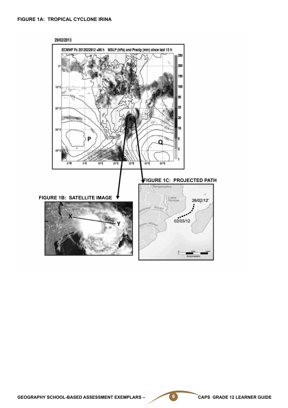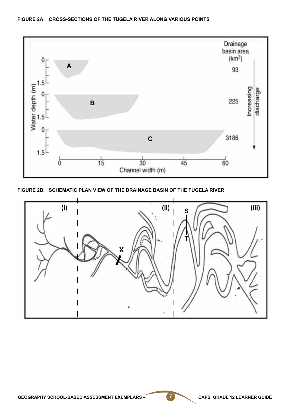

**FIGURE 2B: SCHEMATIC PLAN VIEW OF THE DRAINAGE BASIN OF THE TUGELA RIVER**

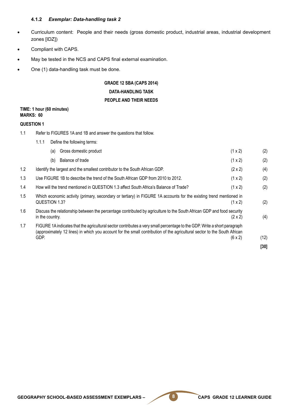#### **4.1.2** *Exemplar: Data-handling task 2*

- • Curriculum content: People and their needs (gross domestic product, industrial areas, industrial development zones [IDZ])
- Compliant with CAPS.
- May be tested in the NCS and CAPS final external examination.
- One (1) data-handling task must be done.

1.1.1 Define the following terms:

# **GRADE 12 SBA (CAPS 2014) DATA-HANDLING TASK PEOPLE AND THEIR NEEDS**

#### **TIME: 1 hour (60 minutes) MARKS: 60**

#### **QUESTION 1**

1.1 Refer to FIGURES 1A and 1B and answer the questions that follow.

|     | Gross domestic product<br>(1 x 2)<br>(a)                                                                                                                                                                                                                                       | (2)  |
|-----|--------------------------------------------------------------------------------------------------------------------------------------------------------------------------------------------------------------------------------------------------------------------------------|------|
|     | Balance of trade<br>(1 x 2)<br>(b)                                                                                                                                                                                                                                             | (2)  |
| 1.2 | Identify the largest and the smallest contributor to the South African GDP.<br>$(2 \times 2)$                                                                                                                                                                                  | (4)  |
| 1.3 | Use FIGURE 1B to describe the trend of the South African GDP from 2010 to 2012.<br>(1 x 2)                                                                                                                                                                                     | (2)  |
| 1.4 | How will the trend mentioned in QUESTION 1.3 affect South Africa's Balance of Trade?<br>(1 x 2)                                                                                                                                                                                | (2)  |
| 1.5 | Which economic activity (primary, secondary or tertiary) in FIGURE 1A accounts for the existing trend mentioned in<br>QUESTION 1.3?<br>$(1 \times 2)$                                                                                                                          | (2)  |
| 1.6 | Discuss the relationship between the percentage contributed by agriculture to the South African GDP and food security<br>in the country.<br>$(2 \times 2)$                                                                                                                     | (4)  |
| 1.7 | FIGURE 1A indicates that the agricultural sector contributes a very small percentage to the GDP. Write a short paragraph<br>(approximately 12 lines) in which you account for the small contribution of the agricultural sector to the South African<br>GDP.<br>$(6 \times 2)$ | (12) |
|     |                                                                                                                                                                                                                                                                                | [30] |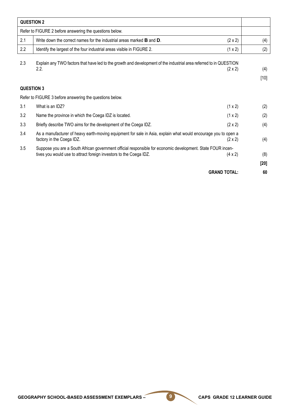| <b>QUESTION 2</b> |                                                                                                                                                                                                     |        |
|-------------------|-----------------------------------------------------------------------------------------------------------------------------------------------------------------------------------------------------|--------|
|                   | Refer to FIGURE 2 before answering the questions below.                                                                                                                                             |        |
| 2.1               | Write down the correct names for the industrial areas marked $B$ and $D$ .<br>$(2 \times 2)$                                                                                                        | (4)    |
| 2.2               | (1 x 2)<br>Identify the largest of the four industrial areas visible in FIGURE 2.                                                                                                                   | (2)    |
| 2.3               | Explain any TWO factors that have led to the growth and development of the industrial area referred to in QUESTION<br>2.2.<br>$(2 \times 2)$                                                        | (4)    |
|                   |                                                                                                                                                                                                     | $[10]$ |
| <b>QUESTION 3</b> |                                                                                                                                                                                                     |        |
|                   | Refer to FIGURE 3 before answering the questions below.                                                                                                                                             |        |
| 3.1               | What is an IDZ?<br>(1 x 2)                                                                                                                                                                          | (2)    |
| 3.2               | Name the province in which the Coega IDZ is located.<br>(1 x 2)                                                                                                                                     | (2)    |
| 3.3               | Briefly describe TWO aims for the development of the Coega IDZ.<br>$(2 \times 2)$                                                                                                                   | (4)    |
| 3.4               | As a manufacturer of heavy earth-moving equipment for sale in Asia, explain what would encourage you to open a<br>factory in the Coega IDZ.<br>$(2 \times 2)$                                       | (4)    |
| 3.5               | Suppose you are a South African government official responsible for economic development. State FOUR incen-<br>tives you would use to attract foreign investors to the Coega IDZ.<br>$(4 \times 2)$ | (8)    |
|                   |                                                                                                                                                                                                     | [20]   |
|                   | <b>GRAND TOTAL:</b>                                                                                                                                                                                 | 60     |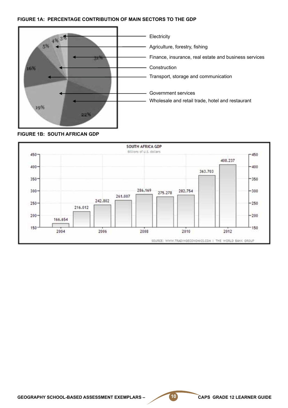#### **FIGURE 1A: PERCENTAGE CONTRIBUTION OF MAIN SECTORS TO THE GDP**





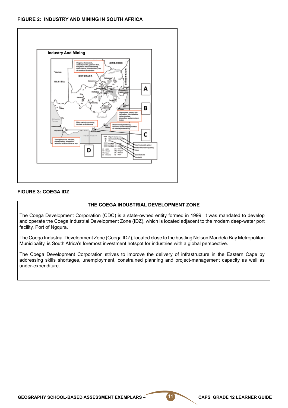#### **FIGURE 2: INDUSTRY AND MINING IN SOUTH AFRICA**



#### **FIGURE 3: COEGA IDZ**

#### **THE COEGA INDUSTRIAL DEVELOPMENT ZONE**

The Coega Development Corporation (CDC) is a state-owned entity formed in 1999. It was mandated to develop and operate the Coega Industrial Development Zone (IDZ), which is located adjacent to the modern deep-water port facility, Port of Ngqura.

The Coega Industrial Development Zone (Coega IDZ), located close to the bustling Nelson Mandela Bay Metropolitan Municipality, is South Africa's foremost investment hotspot for industries with a global perspective.

The Coega Development Corporation strives to improve the delivery of infrastructure in the Eastern Cape by addressing skills shortages, unemployment, constrained planning and project-management capacity as well as under-expenditure.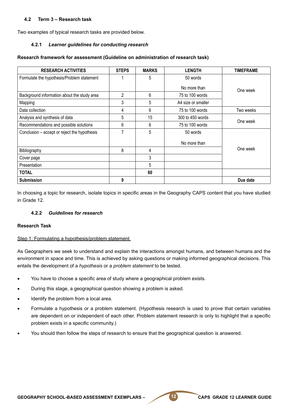#### **4.2 Term 3 – Research task**

Two examples of typical research tasks are provided below.

#### **4.2.1** *Learner guidelines for conducting research*

#### **Research framework for assessment (Guideline on administration of research task)**

| <b>RESEARCH ACTIVITIES</b>                   | <b>STEPS</b> | <b>MARKS</b> | <b>LENGTH</b>      | <b>TIMEFRAME</b> |
|----------------------------------------------|--------------|--------------|--------------------|------------------|
| Formulate the hypothesis/Problem statement   |              | 5            | 50 words           |                  |
|                                              |              |              | No more than       | One week         |
| Background information about the study area  | 2            | 6            | 75 to 100 words    |                  |
| Mapping                                      | 3            | 5            | A4 size or smaller |                  |
| Data collection                              | 4            | 6            | 75 to 100 words    | Two weeks        |
| Analysis and synthesis of data               | 5            | 15           | 300 to 450 words   |                  |
| Recommendations and possible solutions       | 6            | 6            | 75 to 100 words    | One week         |
| Conclusion – accept or reject the hypothesis | 7            | 5            | 50 words           |                  |
|                                              |              |              | No more than       |                  |
| Bibliography                                 | 8            | 4            |                    | One week         |
| Cover page                                   |              | 3            |                    |                  |
| Presentation                                 |              | 5            |                    |                  |
| <b>TOTAL</b>                                 |              | 60           |                    |                  |
| <b>Submission</b>                            | 9            |              |                    | Due date         |

In choosing a topic for research, isolate topics in specific areas in the Geography CAPS content that you have studied in Grade 12.

#### **4.2.2** *Guidelines for research*

#### **Research Task**

#### Step 1: Formulating a hypothesis/problem statement

As Geographers we seek to understand and explain the interactions amongst humans, and between humans and the environment in space and time. This is achieved by asking questions or making informed geographical decisions. This entails the development of a *hypothesis* or a *problem statement* to be tested.

- You have to choose a specific area of study where a geographical problem exists.
- During this stage, a geographical question showing a problem is asked.
- Identify the problem from a local area.
- Formulate a hypothesis or a problem statement. (Hypothesis research is used to prove that certain variables are dependent on or independent of each other. Problem statement research is only to highlight that a specific problem exists in a specific community.)
- You should then follow the steps of research to ensure that the geographical question is answered.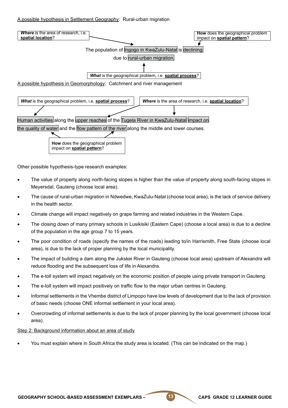#### A possible hypothesis in Settlement Geography: Rural-urban migration



Other possible hypothesis-type research examples:

- The value of property along north-facing slopes is higher than the value of property along south-facing slopes in Meyersdal, Gauteng (choose local area).
- The cause of rural-urban migration in Ndwedwe, KwaZulu-Natal (choose local area), is the lack of service delivery in the health sector.
- Climate change will impact negatively on grape farming and related industries in the Western Cape.
- The closing down of many primary schools in Lusikisiki (Eastern Cape) (choose a local area) is due to a decline of the population in the age group 7 to 15 years.
- The poor condition of roads (specify the names of the roads) leading to/in Harrismith, Free State (choose local area), is due to the lack of proper planning by the local municipality.
- The impact of building a dam along the Jukskei River in Gauteng (choose local area) upstream of Alexandra will reduce flooding and the subsequent loss of life in Alexandra.
- The e-toll system will impact negatively on the economic position of people using private transport in Gauteng.
- The e-toll system will impact positively on traffic flow to the major urban centres in Gauteng.
- Informal settlements in the Vhembe district of Limpopo have low levels of development due to the lack of provision of basic needs (choose ONE informal settlement in your local area).
- Overcrowding of informal settlements is due to the lack of proper planning by the local government (choose local area).

#### Step 2: Background information about an area of study

You must explain where in South Africa the study area is located. (This can be indicated on the map.)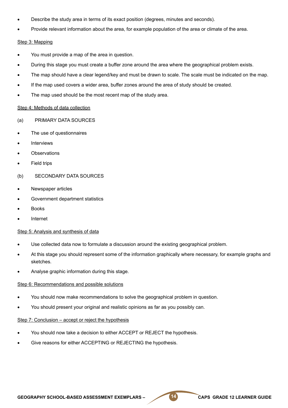- Describe the study area in terms of its exact position (degrees, minutes and seconds).
- Provide relevant information about the area, for example population of the area or climate of the area.

#### Step 3: Mapping

- You must provide a map of the area in question.
- During this stage you must create a buffer zone around the area where the geographical problem exists.
- The map should have a clear legend/key and must be drawn to scale. The scale must be indicated on the map.
- If the map used covers a wider area, buffer zones around the area of study should be created.
- The map used should be the most recent map of the study area.

#### Step 4: Methods of data collection

- (a) PRIMARY DATA SOURCES
- The use of questionnaires
- **Interviews**
- **Observations**
- **Field trips**
- (b) SECONDARY DATA SOURCES
- Newspaper articles
- Government department statistics
- **Books**
- **Internet**

#### Step 5: Analysis and synthesis of data

- Use collected data now to formulate a discussion around the existing geographical problem.
- At this stage you should represent some of the information graphically where necessary, for example graphs and sketches.
- Analyse graphic information during this stage.

#### Step 6: Recommendations and possible solutions

- You should now make recommendations to solve the geographical problem in question.
- You should present your original and realistic opinions as far as you possibly can.

#### Step 7: Conclusion – accept or reject the hypothesis

- You should now take a decision to either ACCEPT or REJECT the hypothesis.
- Give reasons for either ACCEPTING or REJECTING the hypothesis.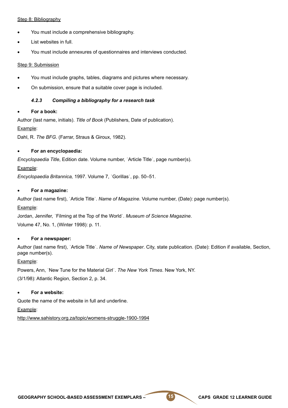#### Step 8: Bibliography

- You must include a comprehensive bibliography.
- List websites in full.
- You must include annexures of questionnaires and interviews conducted.

#### Step 9: Submission

- You must include graphs, tables, diagrams and pictures where necessary.
- On submission, ensure that a suitable cover page is included.

#### *4.2.3 Compiling a bibliography for a research task*

#### For a book:

Author (last name, initials). *Title of Book* (Publishers, Date of publication).

#### Example:

Dahl, R. *The BFG*. (Farrar, Straus & Giroux, 1982).

#### **For an encyclopaedia:**

*Encyclopaedia Title*, Edition date. Volume number, ˈArticle Titleˈ, page number(s). Example:

*Encyclopaedia Britannica,* 1997. Volume 7, ˈGorillasˈ, pp. 50–51.

#### **For a magazine:**

Author (last name first), ˈArticle Titleˈ. *Name of Magazine*. Volume number, (Date): page number(s). Example:

Jordan, Jennifer, ˈFilming at the Top of the Worldˈ. *Museum of Science Magazine*. Volume 47, No. 1, (Winter 1998): p. 11.

#### For a newspaper:

Author (last name first), ˈArticle Titleˈ. *Name of Newspaper*. City, state publication. (Date): Edition if available, Section, page number(s).

#### Example:

Powers, Ann, ˈNew Tune for the Material Girlˈ. *The New York Times*. New York, NY.

(3/1/98): Atlantic Region, Section 2, p. 34.

#### **For a website:**

Quote the name of the website in full and underline.

Example:

http://www.sahistory.org.za/topic/womens-struggle-1900-1994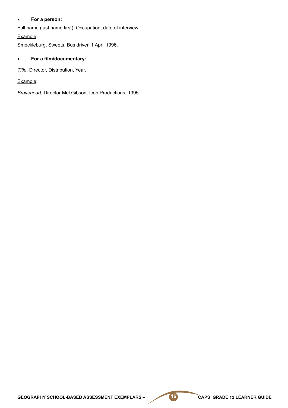#### • **For a person:**

Full name (last name first). Occupation, date of interview.

Example:

Smeckleburg, Sweets. Bus driver. 1 April 1996.

#### • **For a film/documentary:**

*Title*, Director, Distribution, Year.

Example:

*Braveheart*, Director Mel Gibson, Icon Productions, 1995.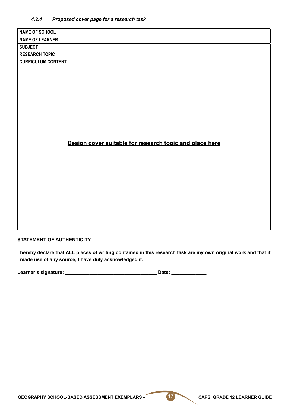#### *4.2.4 Proposed cover page for a research task*

| <b>NAME OF SCHOOL</b>     |                                                         |  |
|---------------------------|---------------------------------------------------------|--|
| <b>NAME OF LEARNER</b>    |                                                         |  |
| <b>SUBJECT</b>            |                                                         |  |
| <b>RESEARCH TOPIC</b>     |                                                         |  |
| <b>CURRICULUM CONTENT</b> |                                                         |  |
|                           |                                                         |  |
|                           |                                                         |  |
|                           |                                                         |  |
|                           |                                                         |  |
|                           |                                                         |  |
|                           |                                                         |  |
|                           |                                                         |  |
|                           |                                                         |  |
|                           |                                                         |  |
|                           |                                                         |  |
|                           |                                                         |  |
|                           |                                                         |  |
|                           | Design cover suitable for research topic and place here |  |
|                           |                                                         |  |
|                           |                                                         |  |
|                           |                                                         |  |
|                           |                                                         |  |
|                           |                                                         |  |
|                           |                                                         |  |
|                           |                                                         |  |
|                           |                                                         |  |
|                           |                                                         |  |
|                           |                                                         |  |

#### **STATEMENT OF AUTHENTICITY**

**I hereby declare that ALL pieces of writing contained in this research task are my own original work and that if I made use of any source, I have duly acknowledged it.** 

| Learner's signature: |  | Date: |  |
|----------------------|--|-------|--|
|----------------------|--|-------|--|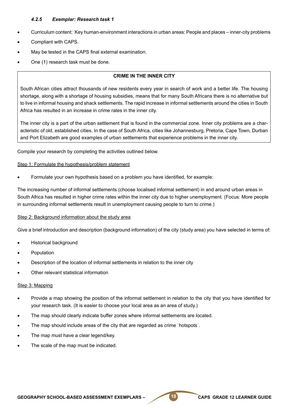#### *4.2.5 Exemplar: Research task 1*

- Curriculum content: Key human-environment interactions in urban areas: People and places inner-city problems
- Compliant with CAPS.
- May be tested in the CAPS final external examination.
- One (1) research task must be done.

#### **CRIME IN THE INNER CITY**

South African cities attract thousands of new residents every year in search of work and a better life. The housing shortage, along with a shortage of housing subsidies, means that for many South Africans there is no alternative but to live in informal housing and shack settlements. The rapid increase in informal settlements around the cities in South Africa has resulted in an increase in crime rates in the inner city.

The inner city is a part of the urban settlement that is found in the commercial zone. Inner city problems are a characteristic of old, established cities. In the case of South Africa, cities like Johannesburg, Pretoria, Cape Town, Durban and Port Elizabeth are good examples of urban settlements that experience problems in the inner city.

Compile your research by completing the activities outlined below.

#### Step 1: Formulate the hypothesis/problem statement

Formulate your own hypothesis based on a problem you have identified, for example:

The increasing number of informal settlements (choose localised informal settlement) in and around urban areas in South Africa has resulted in higher crime rates within the inner city due to higher unemployment. (Focus: More people in surrounding informal settlements result in unemployment causing people to turn to crime.)

#### Step 2: Background information about the study area

Give a brief introduction and description (background information) of the city (study area) you have selected in terms of:

- **Historical background**
- **Population**
- Description of the location of informal settlements in relation to the inner city
- Other relevant statistical information

#### Step 3: Mapping

- Provide a map showing the position of the informal settlement in relation to the city that you have identified for your research task. (It is easier to choose your local area as an area of study.)
- The map should clearly indicate buffer zones where informal settlements are located.
- The map should include areas of the city that are regarded as crime 'hotspots'.
- The map must have a clear legend/key.
- The scale of the map must be indicated.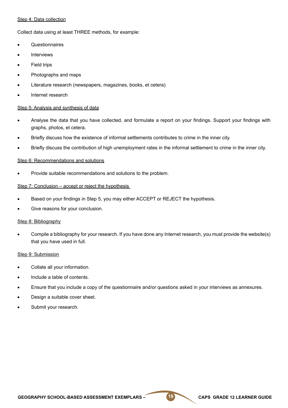#### Step 4: Data collection

Collect data using at least THREE methods, for example:

- **Questionnaires**
- **Interviews**
- **Field trips**
- Photographs and maps
- Literature research (newspapers, magazines, books, et cetera)
- Internet research

#### Step 5: Analysis and synthesis of data

- Analyse the data that you have collected, and formulate a report on your findings. Support your findings with graphs, photos, et cetera.
- Briefly discuss how the existence of informal settlements contributes to crime in the inner city.
- Briefly discuss the contribution of high unemployment rates in the informal settlement to crime in the inner city.

#### Step 6: Recommendations and solutions

Provide suitable recommendations and solutions to the problem.

#### Step 7: Conclusion – accept or reject the hypothesis

- Based on your findings in Step 5, you may either ACCEPT or REJECT the hypothesis.
- Give reasons for your conclusion.

#### Step 8: Bibliography

Compile a bibliography for your research. If you have done any Internet research, you must provide the website(s) that you have used in full.

#### Step 9: Submission

- Collate all your information.
- Include a table of contents.
- Ensure that you include a copy of the questionnaire and/or questions asked in your interviews as annexures.
- Design a suitable cover sheet.
- Submit your research.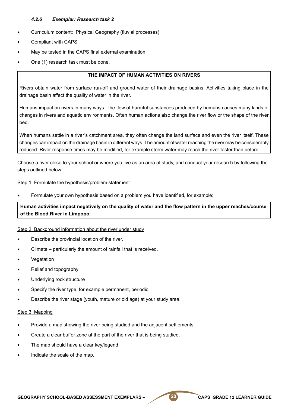#### *4.2.6 Exemplar: Research task 2*

- Curriculum content: Physical Geography (fluvial processes)
- Compliant with CAPS.
- May be tested in the CAPS final external examination.
- One (1) research task must be done.

#### **THE IMPACT OF HUMAN ACTIVITIES ON RIVERS**

Rivers obtain water from surface run-off and ground water of their drainage basins. Activities taking place in the drainage basin affect the quality of water in the river.

Humans impact on rivers in many ways. The flow of harmful substances produced by humans causes many kinds of changes in rivers and aquatic environments. Often human actions also change the river flow or the shape of the river bed.

When humans settle in a river's catchment area, they often change the land surface and even the river itself. These changes can impact on the drainage basin in different ways. The amount of water reaching the river may be considerably reduced. River response times may be modified, for example storm water may reach the river faster than before.

Choose a river close to your school or where you live as an area of study, and conduct your research by following the steps outlined below.

#### Step 1: Formulate the hypothesis/problem statement

Formulate your own hypothesis based on a problem you have identified, for example:

**Human activities impact negatively on the quality of water and the flow pattern in the upper reaches/course of the Blood River in Limpopo.**

#### Step 2: Background information about the river under study

- Describe the provincial location of the river.
- Climate particularly the amount of rainfall that is received.
- **Vegetation**
- Relief and topography
- Underlying rock structure
- Specify the river type, for example permanent, periodic.
- Describe the river stage (youth, mature or old age) at your study area.

#### Step 3: Mapping

- Provide a map showing the river being studied and the adjacent settlements.
- Create a clear buffer zone at the part of the river that is being studied.
- The map should have a clear key/legend.
- Indicate the scale of the map.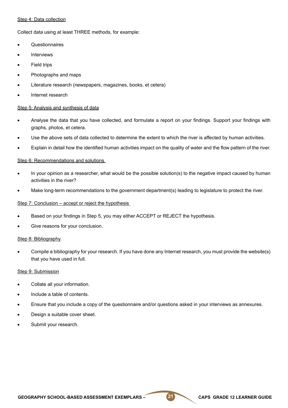#### Step 4: Data collection

Collect data using at least THREE methods, for example:

- **Questionnaires**
- **Interviews**
- **Field trips**
- Photographs and maps
- Literature research (newspapers, magazines, books, et cetera)
- Internet research

#### Step 5: Analysis and synthesis of data

- Analyse the data that you have collected, and formulate a report on your findings. Support your findings with graphs, photos, et cetera.
- Use the above sets of data collected to determine the extent to which the river is affected by human activities.
- Explain in detail how the identified human activities impact on the quality of water and the flow pattern of the river.

#### Step 6: Recommendations and solutions

- In your opinion as a researcher, what would be the possible solution(s) to the negative impact caused by human activities in the river?
- Make long-term recommendations to the government department(s) leading to legislature to protect the river.

#### Step 7: Conclusion – accept or reject the hypothesis

- Based on your findings in Step 5, you may either ACCEPT or REJECT the hypothesis.
- Give reasons for your conclusion.

#### Step 8: Bibliography

Compile a bibliography for your research. If you have done any Internet research, you must provide the website(s) that you have used in full.

#### Step 9: Submission

- Collate all your information.
- Include a table of contents.
- Ensure that you include a copy of the questionnaire and/or questions asked in your interviews as annexures.
- Design a suitable cover sheet.
- Submit your research.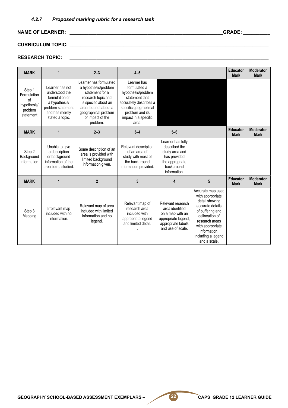# **NAME OF LEARNER: \_\_\_\_\_\_\_\_\_\_\_\_\_\_\_\_\_\_\_\_\_\_\_\_\_\_\_\_\_\_\_\_\_\_\_\_\_\_\_\_\_\_\_\_\_\_\_\_\_\_\_\_\_\_\_\_\_GRADE: \_\_\_\_\_\_\_\_\_\_**

# **CURRICULUM TOPIC: \_\_\_\_\_\_\_\_\_\_\_\_\_\_\_\_\_\_\_\_\_\_\_\_\_\_\_\_\_\_\_\_\_\_\_\_\_\_\_\_\_\_\_\_\_\_\_\_\_\_\_\_\_\_\_\_\_\_\_\_\_\_\_\_\_\_\_\_\_\_\_\_\_\_**

# **RESEARCH TOPIC: \_\_\_\_\_\_\_\_\_\_\_\_\_\_\_\_\_\_\_\_\_\_\_\_\_\_\_\_\_\_\_\_\_\_\_\_\_\_\_\_\_\_\_\_\_\_\_\_\_\_\_\_\_\_\_\_\_\_\_\_\_\_\_\_\_\_\_\_\_\_\_\_\_\_**

| <b>MARK</b>                                                        | 1                                                                                                                              | $2 - 3$                                                                                                                                                                                          | $4 - 5$                                                                                                                                                                    |                                                                                                                            |                                                                                                                                                                                                               | <b>Educator</b><br><b>Mark</b> | <b>Moderator</b><br><b>Mark</b> |
|--------------------------------------------------------------------|--------------------------------------------------------------------------------------------------------------------------------|--------------------------------------------------------------------------------------------------------------------------------------------------------------------------------------------------|----------------------------------------------------------------------------------------------------------------------------------------------------------------------------|----------------------------------------------------------------------------------------------------------------------------|---------------------------------------------------------------------------------------------------------------------------------------------------------------------------------------------------------------|--------------------------------|---------------------------------|
| Step 1<br>Formulation<br>of<br>hypothesis/<br>problem<br>statement | Learner has not<br>understood the<br>formulation of<br>a hypothesis/<br>problem statement<br>and has merely<br>stated a topic. | Learner has formulated<br>a hypothesis/problem<br>statement for a<br>research topic and<br>is specific about an<br>area, but not about a<br>geographical problem<br>or impact of the<br>problem. | Learner has<br>formulated a<br>hypothesis/problem<br>statement that<br>accurately describes a<br>specific geographical<br>problem and its<br>impact in a specific<br>area. |                                                                                                                            |                                                                                                                                                                                                               |                                |                                 |
| <b>MARK</b>                                                        | 1                                                                                                                              | $2 - 3$                                                                                                                                                                                          | $3 - 4$                                                                                                                                                                    | $5-6$                                                                                                                      |                                                                                                                                                                                                               | <b>Educator</b><br><b>Mark</b> | <b>Moderator</b><br><b>Mark</b> |
| Step 2<br>Background<br>information                                | Unable to give<br>a description<br>or background<br>information of the<br>area being studied.                                  | Some description of an<br>area is provided with<br>limited background<br>information given.                                                                                                      | Relevant description<br>of an area of<br>study with most of<br>the background<br>information provided.                                                                     | Learner has fully<br>described the<br>study area and<br>has provided<br>the appropriate<br>background<br>information.      |                                                                                                                                                                                                               |                                |                                 |
| <b>MARK</b>                                                        | 1                                                                                                                              | $\overline{2}$                                                                                                                                                                                   | 3                                                                                                                                                                          | 4                                                                                                                          | 5                                                                                                                                                                                                             | <b>Educator</b><br><b>Mark</b> | <b>Moderator</b><br><b>Mark</b> |
| Step 3<br>Mapping                                                  | Irrelevant map<br>included with no<br>information.                                                                             | Relevant map of area<br>included with limited<br>information and no<br>legend.                                                                                                                   | Relevant map of<br>research area<br>included with<br>appropriate legend<br>and limited detail.                                                                             | Relevant research<br>area identified<br>on a map with an<br>appropriate legend,<br>appropriate labels<br>and use of scale. | Accurate map used<br>with appropriate<br>detail showing<br>accurate details<br>of buffering and<br>delineation of<br>research areas<br>with appropriate<br>information.<br>including a legend<br>and a scale. |                                |                                 |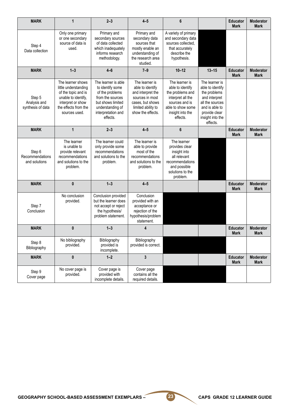| <b>MARK</b>                                 | $\mathbf{1}$                                                                                                                                          | $2 - 3$                                                                                                                                                   | $4 - 5$                                                                                                                                   | 6                                                                                                                                                  |                                                                                                                                                           | <b>Educator</b><br><b>Mark</b> | <b>Moderator</b><br><b>Mark</b> |
|---------------------------------------------|-------------------------------------------------------------------------------------------------------------------------------------------------------|-----------------------------------------------------------------------------------------------------------------------------------------------------------|-------------------------------------------------------------------------------------------------------------------------------------------|----------------------------------------------------------------------------------------------------------------------------------------------------|-----------------------------------------------------------------------------------------------------------------------------------------------------------|--------------------------------|---------------------------------|
| Step 4<br>Data collection                   | Only one primary<br>or one secondary<br>source of data is<br>used.                                                                                    | Primary and<br>secondary sources<br>of data collected<br>which inadequately<br>informs research<br>methodology.                                           | Primary and<br>secondary data<br>sources that<br>mostly enable an<br>understanding of<br>the research area<br>studied.                    | A variety of primary<br>and secondary data<br>sources collected,<br>that accurately<br>describe the<br>hypothesis.                                 |                                                                                                                                                           |                                |                                 |
| <b>MARK</b>                                 | $1 - 3$                                                                                                                                               | $4 - 6$                                                                                                                                                   | $7 - 9$                                                                                                                                   | $10 - 12$                                                                                                                                          | $13 - 15$                                                                                                                                                 | <b>Educator</b><br><b>Mark</b> | <b>Moderator</b><br><b>Mark</b> |
| Step 5<br>Analysis and<br>synthesis of data | The learner shows<br>little understanding<br>of the topic and is<br>unable to identify,<br>interpret or show<br>the effects from the<br>sources used. | The learner is able<br>to identify some<br>of the problems<br>from the sources<br>but shows limited<br>understanding of<br>interpretation and<br>effects. | The learner is<br>able to identify<br>and interpret the<br>sources in most<br>cases, but shows<br>limited ability to<br>show the effects. | The learner is<br>able to identify<br>the problems and<br>interpret all the<br>sources and is<br>able to show some<br>insight into the<br>effects. | The learner is<br>able to identify<br>the problems<br>and interpret<br>all the sources<br>and is able to<br>provide clear<br>insight into the<br>effects. |                                |                                 |
| <b>MARK</b>                                 | $\mathbf{1}$                                                                                                                                          | $2 - 3$                                                                                                                                                   | $4 - 5$                                                                                                                                   | 6                                                                                                                                                  |                                                                                                                                                           | <b>Educator</b><br><b>Mark</b> | <b>Moderator</b><br><b>Mark</b> |
| Step 6<br>Recommendations<br>and solutions  | The learner<br>is unable to<br>provide relevant<br>recommendations<br>and solutions to the<br>problem.                                                | The learner could<br>only provide some<br>recommendations<br>and solutions to the<br>problem.                                                             | The learner is<br>able to provide<br>most of the<br>recommendations<br>and solutions to the<br>problem.                                   | The learner<br>provides clear<br>insight into<br>all relevant<br>recommendations<br>and possible<br>solutions to the<br>problem.                   |                                                                                                                                                           |                                |                                 |
| <b>MARK</b>                                 | $\pmb{0}$                                                                                                                                             | $1 - 3$                                                                                                                                                   | $4 - 5$                                                                                                                                   |                                                                                                                                                    |                                                                                                                                                           | <b>Educator</b><br><b>Mark</b> | <b>Moderator</b><br><b>Mark</b> |
| Step 7<br>Conclusion                        | No conclusion<br>provided.                                                                                                                            | Conclusion provided<br>but the learner does<br>not accept or reject<br>the hypothesis/<br>problem statement.                                              | Conclusion<br>provided with an<br>acceptance or<br>rejection of the<br>hypothesis/problem<br>statement.                                   |                                                                                                                                                    |                                                                                                                                                           |                                |                                 |
| <b>MARK</b>                                 | $\bf{0}$                                                                                                                                              | $1 - 3$                                                                                                                                                   | 4                                                                                                                                         |                                                                                                                                                    |                                                                                                                                                           | <b>Educator</b><br><b>Mark</b> | <b>Moderator</b><br><b>Mark</b> |
| Step 8<br>Bibliography                      | No bibliography<br>provided.                                                                                                                          | Bibliography<br>provided is<br>incomplete.                                                                                                                | Bibliography<br>provided is correct.                                                                                                      |                                                                                                                                                    |                                                                                                                                                           |                                |                                 |
| <b>MARK</b>                                 | 0                                                                                                                                                     | $1 - 2$                                                                                                                                                   | $\mathbf{3}$                                                                                                                              |                                                                                                                                                    |                                                                                                                                                           | <b>Educator</b><br><b>Mark</b> | <b>Moderator</b><br><b>Mark</b> |
| Step 9<br>Cover page                        | No cover page is<br>provided.                                                                                                                         | Cover page is<br>provided with<br>incomplete details.                                                                                                     | Cover page<br>contains all the<br>required details.                                                                                       |                                                                                                                                                    |                                                                                                                                                           |                                |                                 |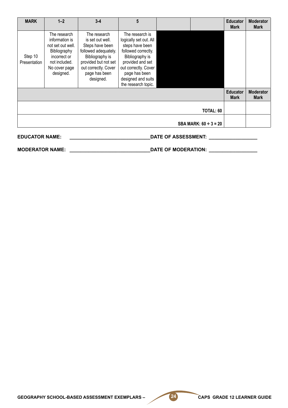| <b>MARK</b>             | $1 - 2$                                                                                                                            | $3 - 4$                                                                                                                                                                      | 5                                                                                                                                                                                                                |                            |                                              | <b>Educator</b><br><b>Mark</b> | <b>Moderator</b><br><b>Mark</b> |
|-------------------------|------------------------------------------------------------------------------------------------------------------------------------|------------------------------------------------------------------------------------------------------------------------------------------------------------------------------|------------------------------------------------------------------------------------------------------------------------------------------------------------------------------------------------------------------|----------------------------|----------------------------------------------|--------------------------------|---------------------------------|
| Step 10<br>Presentation | The research<br>information is<br>not set out well.<br>Bibliography<br>incorrect or<br>not included.<br>No cover page<br>designed. | The research<br>is set out well.<br>Steps have been<br>followed adequately.<br>Bibliography is<br>provided but not set<br>out correctly. Cover<br>page has been<br>designed. | The research is<br>logically set out. All<br>steps have been<br>followed correctly.<br>Bibliography is<br>provided and set<br>out correctly. Cover<br>page has been<br>designed and suits<br>the research topic. |                            |                                              |                                |                                 |
|                         |                                                                                                                                    |                                                                                                                                                                              |                                                                                                                                                                                                                  |                            |                                              | <b>Educator</b><br><b>Mark</b> | <b>Moderator</b><br><b>Mark</b> |
|                         |                                                                                                                                    |                                                                                                                                                                              |                                                                                                                                                                                                                  |                            | TOTAL: 60                                    |                                |                                 |
|                         |                                                                                                                                    |                                                                                                                                                                              |                                                                                                                                                                                                                  |                            | <b>SBA MARK: <math>60 \div 3 = 20</math></b> |                                |                                 |
| <b>EDUCATOR NAME:</b>   |                                                                                                                                    |                                                                                                                                                                              |                                                                                                                                                                                                                  | <b>DATE OF ASSESSMENT:</b> |                                              |                                |                                 |

**MODERATOR NAME: \_\_\_\_\_\_\_\_\_\_\_\_\_\_\_\_\_\_\_\_\_\_\_\_\_\_\_\_\_\_DATE OF MODERATION: \_\_\_\_\_\_\_\_\_\_\_\_\_\_\_\_\_\_**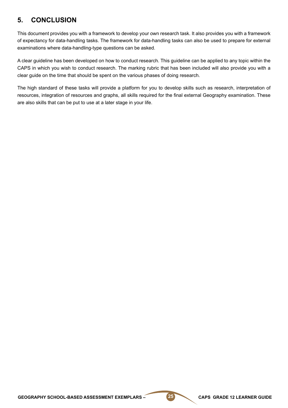# **5. CONCLUSION**

This document provides you with a framework to develop your own research task. It also provides you with a framework of expectancy for data-handling tasks. The framework for data-handling tasks can also be used to prepare for external examinations where data-handling-type questions can be asked.

A clear guideline has been developed on how to conduct research. This guideline can be applied to any topic within the CAPS in which you wish to conduct research. The marking rubric that has been included will also provide you with a clear guide on the time that should be spent on the various phases of doing research.

The high standard of these tasks will provide a platform for you to develop skills such as research, interpretation of resources, integration of resources and graphs, all skills required for the final external Geography examination. These are also skills that can be put to use at a later stage in your life.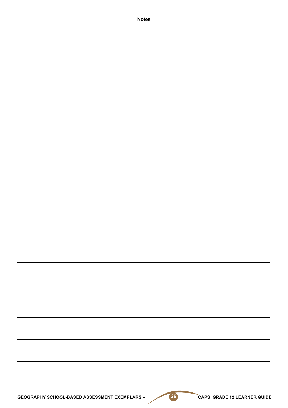| <b>Notes</b> |  |
|--------------|--|
|              |  |
|              |  |
|              |  |
|              |  |
|              |  |
|              |  |
|              |  |
|              |  |
|              |  |
|              |  |
|              |  |
|              |  |
|              |  |
|              |  |
|              |  |
|              |  |
|              |  |
|              |  |
|              |  |
|              |  |
|              |  |
|              |  |
|              |  |
|              |  |
|              |  |
|              |  |
|              |  |
|              |  |
|              |  |
|              |  |
|              |  |
|              |  |
|              |  |
|              |  |
|              |  |
|              |  |
|              |  |
|              |  |
|              |  |
|              |  |
|              |  |
|              |  |
|              |  |
|              |  |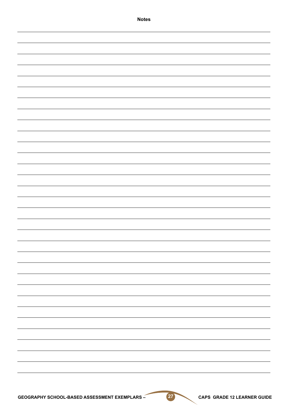| <b>Notes</b> |
|--------------|
|              |
|              |
|              |
|              |
|              |
|              |
|              |
|              |
|              |
|              |
|              |
|              |
|              |
|              |
|              |
|              |
|              |
|              |
|              |
|              |
|              |
|              |
|              |
|              |
|              |
|              |
|              |
|              |
|              |
|              |
|              |
|              |
|              |
|              |
|              |
|              |
|              |
|              |
|              |
|              |
|              |
|              |
|              |
|              |
|              |
|              |
|              |
|              |
|              |
|              |
|              |
|              |
|              |
|              |
|              |
|              |
|              |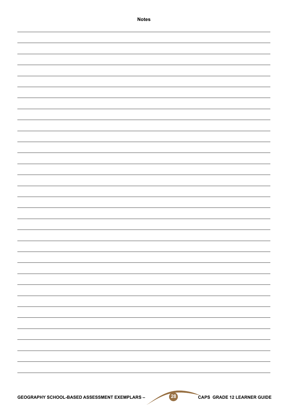| <b>Notes</b>                                          |                             |
|-------------------------------------------------------|-----------------------------|
|                                                       |                             |
|                                                       |                             |
|                                                       |                             |
|                                                       |                             |
|                                                       |                             |
|                                                       |                             |
|                                                       |                             |
|                                                       |                             |
|                                                       |                             |
|                                                       |                             |
|                                                       |                             |
|                                                       |                             |
|                                                       |                             |
|                                                       |                             |
|                                                       |                             |
|                                                       |                             |
|                                                       |                             |
|                                                       |                             |
|                                                       |                             |
|                                                       |                             |
|                                                       |                             |
|                                                       |                             |
|                                                       |                             |
|                                                       |                             |
|                                                       |                             |
|                                                       |                             |
|                                                       |                             |
|                                                       |                             |
|                                                       |                             |
|                                                       |                             |
|                                                       |                             |
|                                                       |                             |
|                                                       |                             |
|                                                       |                             |
|                                                       |                             |
|                                                       |                             |
|                                                       |                             |
|                                                       |                             |
|                                                       |                             |
| (28)<br>GEOGRAPHY SCHOOL-BASED ASSESSMENT EXEMPLARS - | CAPS GRADE 12 LEARNER GUIDE |